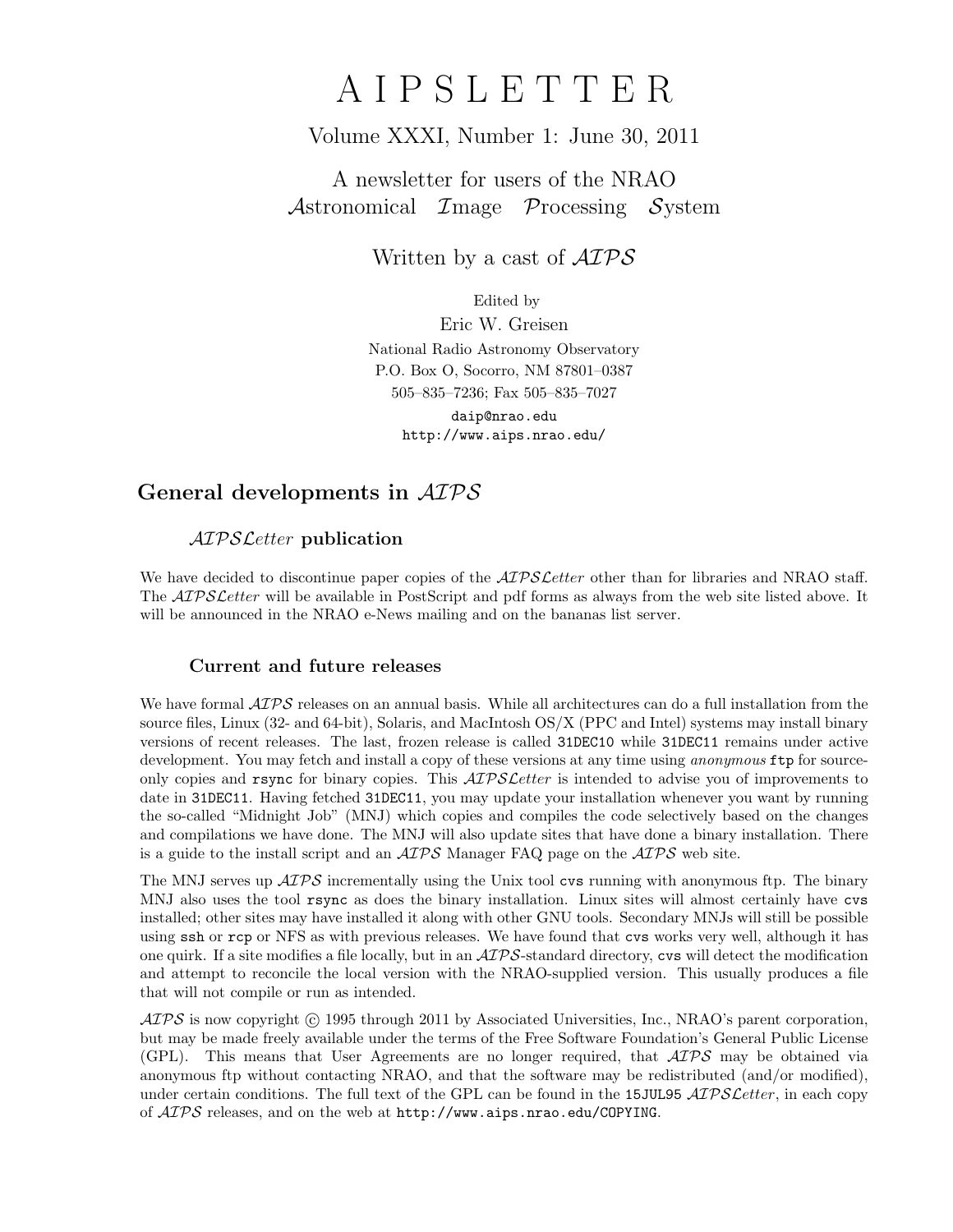# A I P S L E T T E R

## Volume XXXI, Number 1: June 30, 2011

# A newsletter for users of the NRAO Astronomical Image Processing System

Written by a cast of  $\mathcal{AIPS}$ 

Edited by

Eric W. Greisen National Radio Astronomy Observatory P.O. Box O, Socorro, NM 87801–0387 505–835–7236; Fax 505–835–7027 daip@nrao.edu

http://www.aips.nrao.edu/

# General developments in AIPS

## AIPSLetter publication

We have decided to discontinue paper copies of the  $\mathcal{AIPS}\mathcal{L}$  etter other than for libraries and NRAO staff. The *AIPS Letter* will be available in PostScript and pdf forms as always from the web site listed above. It will be announced in the NRAO e-News mailing and on the bananas list server.

## Current and future releases

We have formal  $\mathcal{ATPS}$  releases on an annual basis. While all architectures can do a full installation from the source files, Linux (32- and 64-bit), Solaris, and MacIntosh OS/X (PPC and Intel) systems may install binary versions of recent releases. The last, frozen release is called 31DEC10 while 31DEC11 remains under active development. You may fetch and install a copy of these versions at any time using *anonymous* ftp for sourceonly copies and rsync for binary copies. This  $ATPSLetter$  is intended to advise you of improvements to date in 31DEC11. Having fetched 31DEC11, you may update your installation whenever you want by running the so-called "Midnight Job" (MNJ) which copies and compiles the code selectively based on the changes and compilations we have done. The MNJ will also update sites that have done a binary installation. There is a guide to the install script and an  $\mathcal{AIPS}$  Manager FAQ page on the  $\mathcal{AIPS}$  web site.

The MNJ serves up  $\mathcal{A} \mathcal{I} \mathcal{P} \mathcal{S}$  incrementally using the Unix tool cvs running with anonymous ftp. The binary MNJ also uses the tool rsync as does the binary installation. Linux sites will almost certainly have cvs installed; other sites may have installed it along with other GNU tools. Secondary MNJs will still be possible using ssh or rcp or NFS as with previous releases. We have found that cvs works very well, although it has one quirk. If a site modifies a file locally, but in an  $\mathcal{AIPS}$ -standard directory, cvs will detect the modification and attempt to reconcile the local version with the NRAO-supplied version. This usually produces a file that will not compile or run as intended.

 $\mathcal{AIPS}$  is now copyright (c) 1995 through 2011 by Associated Universities, Inc., NRAO's parent corporation, but may be made freely available under the terms of the Free Software Foundation's General Public License (GPL). This means that User Agreements are no longer required, that  $\mathcal{AIPS}$  may be obtained via anonymous ftp without contacting NRAO, and that the software may be redistributed (and/or modified), under certain conditions. The full text of the GPL can be found in the 15JUL95  $\mathcal{AIPS}$  Letter, in each copy of  $ATPS$  releases, and on the web at  $http://www.aips.nrao.edu/COPYING.$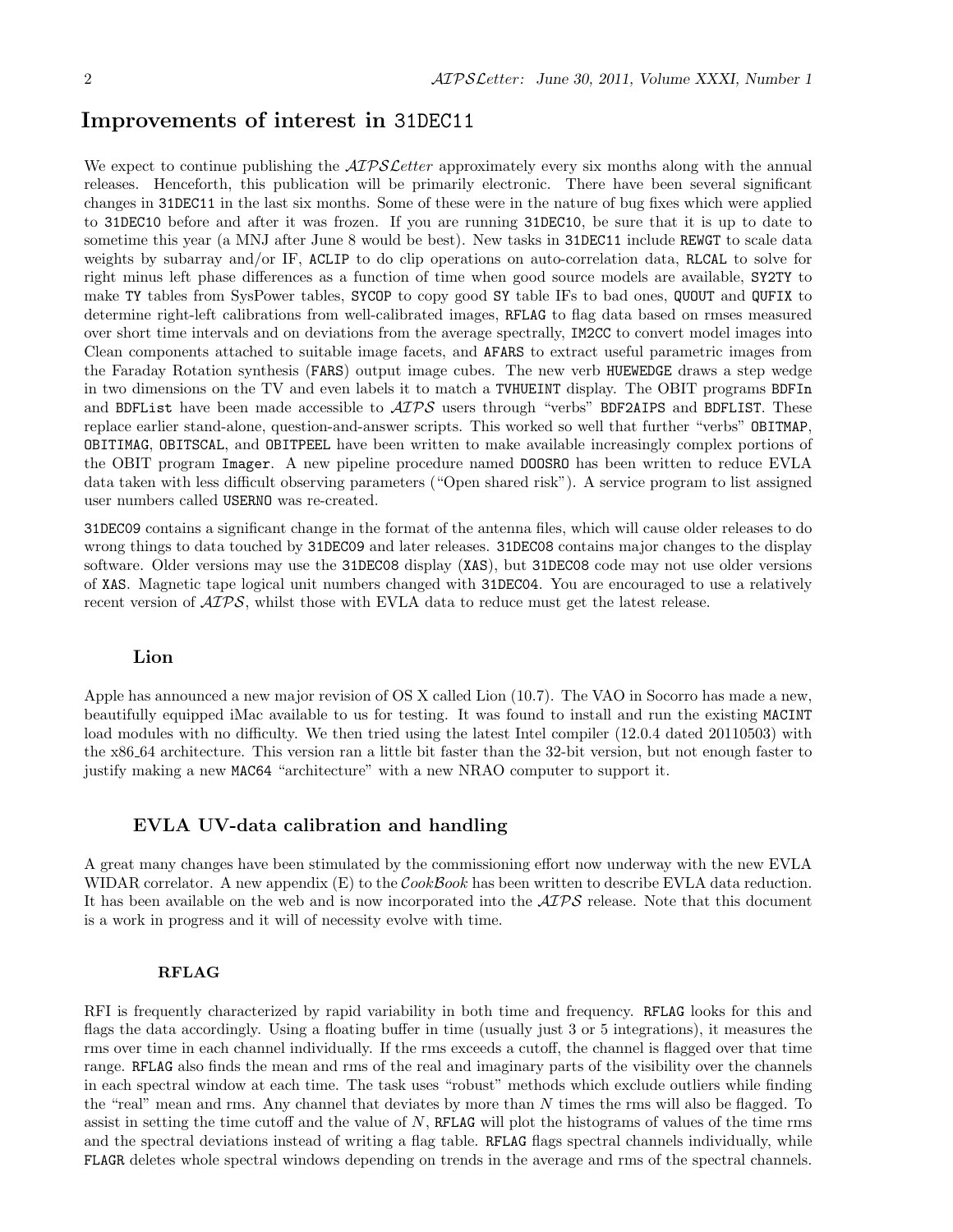## Improvements of interest in 31DEC11

We expect to continue publishing the *AIPS Letter* approximately every six months along with the annual releases. Henceforth, this publication will be primarily electronic. There have been several significant changes in 31DEC11 in the last six months. Some of these were in the nature of bug fixes which were applied to 31DEC10 before and after it was frozen. If you are running 31DEC10, be sure that it is up to date to sometime this year (a MNJ after June 8 would be best). New tasks in 31DEC11 include REWGT to scale data weights by subarray and/or IF, ACLIP to do clip operations on auto-correlation data, RLCAL to solve for right minus left phase differences as a function of time when good source models are available, SY2TY to make TY tables from SysPower tables, SYCOP to copy good SY table IFs to bad ones, QUOUT and QUFIX to determine right-left calibrations from well-calibrated images, RFLAG to flag data based on rmses measured over short time intervals and on deviations from the average spectrally, IM2CC to convert model images into Clean components attached to suitable image facets, and AFARS to extract useful parametric images from the Faraday Rotation synthesis (FARS) output image cubes. The new verb HUEWEDGE draws a step wedge in two dimensions on the TV and even labels it to match a TVHUEINT display. The OBIT programs BDFIn and BDFList have been made accessible to  $\mathcal{AIPS}$  users through "verbs" BDF2AIPS and BDFLIST. These replace earlier stand-alone, question-and-answer scripts. This worked so well that further "verbs" OBITMAP, OBITIMAG, OBITSCAL, and OBITPEEL have been written to make available increasingly complex portions of the OBIT program Imager. A new pipeline procedure named DOOSRO has been written to reduce EVLA data taken with less difficult observing parameters ("Open shared risk"). A service program to list assigned user numbers called USERNO was re-created.

31DEC09 contains a significant change in the format of the antenna files, which will cause older releases to do wrong things to data touched by 31DEC09 and later releases. 31DEC08 contains major changes to the display software. Older versions may use the 31DEC08 display (XAS), but 31DEC08 code may not use older versions of XAS. Magnetic tape logical unit numbers changed with 31DEC04. You are encouraged to use a relatively recent version of AIPS, whilst those with EVLA data to reduce must get the latest release.

#### Lion

Apple has announced a new major revision of OS X called Lion (10.7). The VAO in Socorro has made a new, beautifully equipped iMac available to us for testing. It was found to install and run the existing MACINT load modules with no difficulty. We then tried using the latest Intel compiler (12.0.4 dated 20110503) with the x86 64 architecture. This version ran a little bit faster than the 32-bit version, but not enough faster to justify making a new MAC64 "architecture" with a new NRAO computer to support it.

### EVLA UV-data calibration and handling

A great many changes have been stimulated by the commissioning effort now underway with the new EVLA WIDAR correlator. A new appendix  $(E)$  to the *CookBook* has been written to describe EVLA data reduction. It has been available on the web and is now incorporated into the  $\mathcal{AIPS}$  release. Note that this document is a work in progress and it will of necessity evolve with time.

#### RFLAG

RFI is frequently characterized by rapid variability in both time and frequency. RFLAG looks for this and flags the data accordingly. Using a floating buffer in time (usually just 3 or 5 integrations), it measures the rms over time in each channel individually. If the rms exceeds a cutoff, the channel is flagged over that time range. RFLAG also finds the mean and rms of the real and imaginary parts of the visibility over the channels in each spectral window at each time. The task uses "robust" methods which exclude outliers while finding the "real" mean and rms. Any channel that deviates by more than  $N$  times the rms will also be flagged. To assist in setting the time cutoff and the value of  $N$ , RFLAG will plot the histograms of values of the time rms and the spectral deviations instead of writing a flag table. RFLAG flags spectral channels individually, while FLAGR deletes whole spectral windows depending on trends in the average and rms of the spectral channels.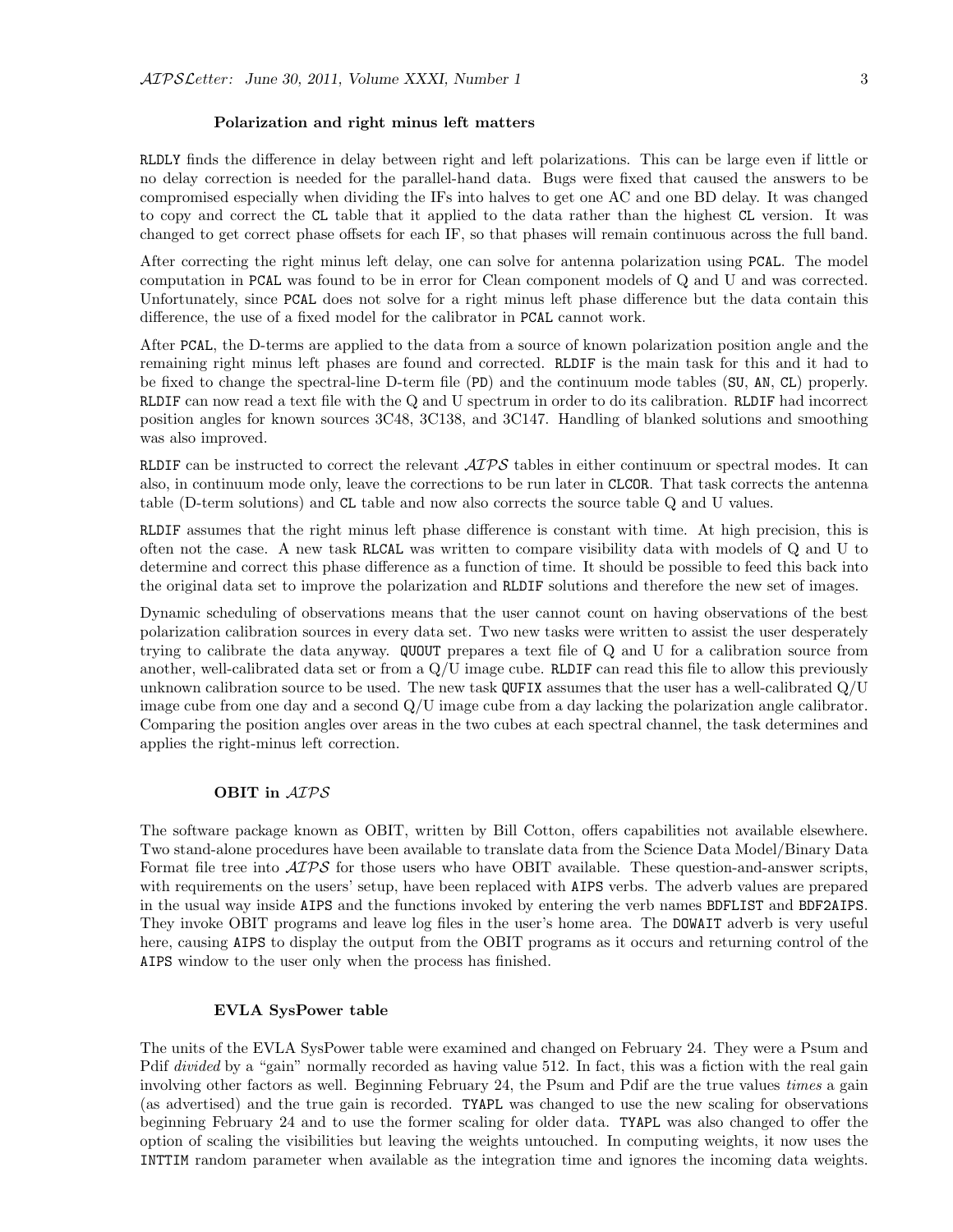#### Polarization and right minus left matters

RLDLY finds the difference in delay between right and left polarizations. This can be large even if little or no delay correction is needed for the parallel-hand data. Bugs were fixed that caused the answers to be compromised especially when dividing the IFs into halves to get one AC and one BD delay. It was changed to copy and correct the CL table that it applied to the data rather than the highest CL version. It was changed to get correct phase offsets for each IF, so that phases will remain continuous across the full band.

After correcting the right minus left delay, one can solve for antenna polarization using PCAL. The model computation in PCAL was found to be in error for Clean component models of Q and U and was corrected. Unfortunately, since PCAL does not solve for a right minus left phase difference but the data contain this difference, the use of a fixed model for the calibrator in PCAL cannot work.

After PCAL, the D-terms are applied to the data from a source of known polarization position angle and the remaining right minus left phases are found and corrected. RLDIF is the main task for this and it had to be fixed to change the spectral-line D-term file (PD) and the continuum mode tables (SU, AN, CL) properly. RLDIF can now read a text file with the Q and U spectrum in order to do its calibration. RLDIF had incorrect position angles for known sources 3C48, 3C138, and 3C147. Handling of blanked solutions and smoothing was also improved.

RLDIF can be instructed to correct the relevant  $\mathcal{AIPS}$  tables in either continuum or spectral modes. It can also, in continuum mode only, leave the corrections to be run later in CLCOR. That task corrects the antenna table (D-term solutions) and CL table and now also corrects the source table Q and U values.

RLDIF assumes that the right minus left phase difference is constant with time. At high precision, this is often not the case. A new task RLCAL was written to compare visibility data with models of Q and U to determine and correct this phase difference as a function of time. It should be possible to feed this back into the original data set to improve the polarization and RLDIF solutions and therefore the new set of images.

Dynamic scheduling of observations means that the user cannot count on having observations of the best polarization calibration sources in every data set. Two new tasks were written to assist the user desperately trying to calibrate the data anyway. QUOUT prepares a text file of Q and U for a calibration source from another, well-calibrated data set or from a Q/U image cube. RLDIF can read this file to allow this previously unknown calibration source to be used. The new task QUFIX assumes that the user has a well-calibrated  $Q/U$ image cube from one day and a second Q/U image cube from a day lacking the polarization angle calibrator. Comparing the position angles over areas in the two cubes at each spectral channel, the task determines and applies the right-minus left correction.

#### OBIT in AIPS

The software package known as OBIT, written by Bill Cotton, offers capabilities not available elsewhere. Two stand-alone procedures have been available to translate data from the Science Data Model/Binary Data Format file tree into  $\mathcal{A}TP\mathcal{S}$  for those users who have OBIT available. These question-and-answer scripts, with requirements on the users' setup, have been replaced with AIPS verbs. The adverb values are prepared in the usual way inside AIPS and the functions invoked by entering the verb names BDFLIST and BDF2AIPS. They invoke OBIT programs and leave log files in the user's home area. The DOWAIT adverb is very useful here, causing AIPS to display the output from the OBIT programs as it occurs and returning control of the AIPS window to the user only when the process has finished.

#### EVLA SysPower table

The units of the EVLA SysPower table were examined and changed on February 24. They were a Psum and Pdif *divided* by a "gain" normally recorded as having value 512. In fact, this was a fiction with the real gain involving other factors as well. Beginning February 24, the Psum and Pdif are the true values times a gain (as advertised) and the true gain is recorded. TYAPL was changed to use the new scaling for observations beginning February 24 and to use the former scaling for older data. TYAPL was also changed to offer the option of scaling the visibilities but leaving the weights untouched. In computing weights, it now uses the INTTIM random parameter when available as the integration time and ignores the incoming data weights.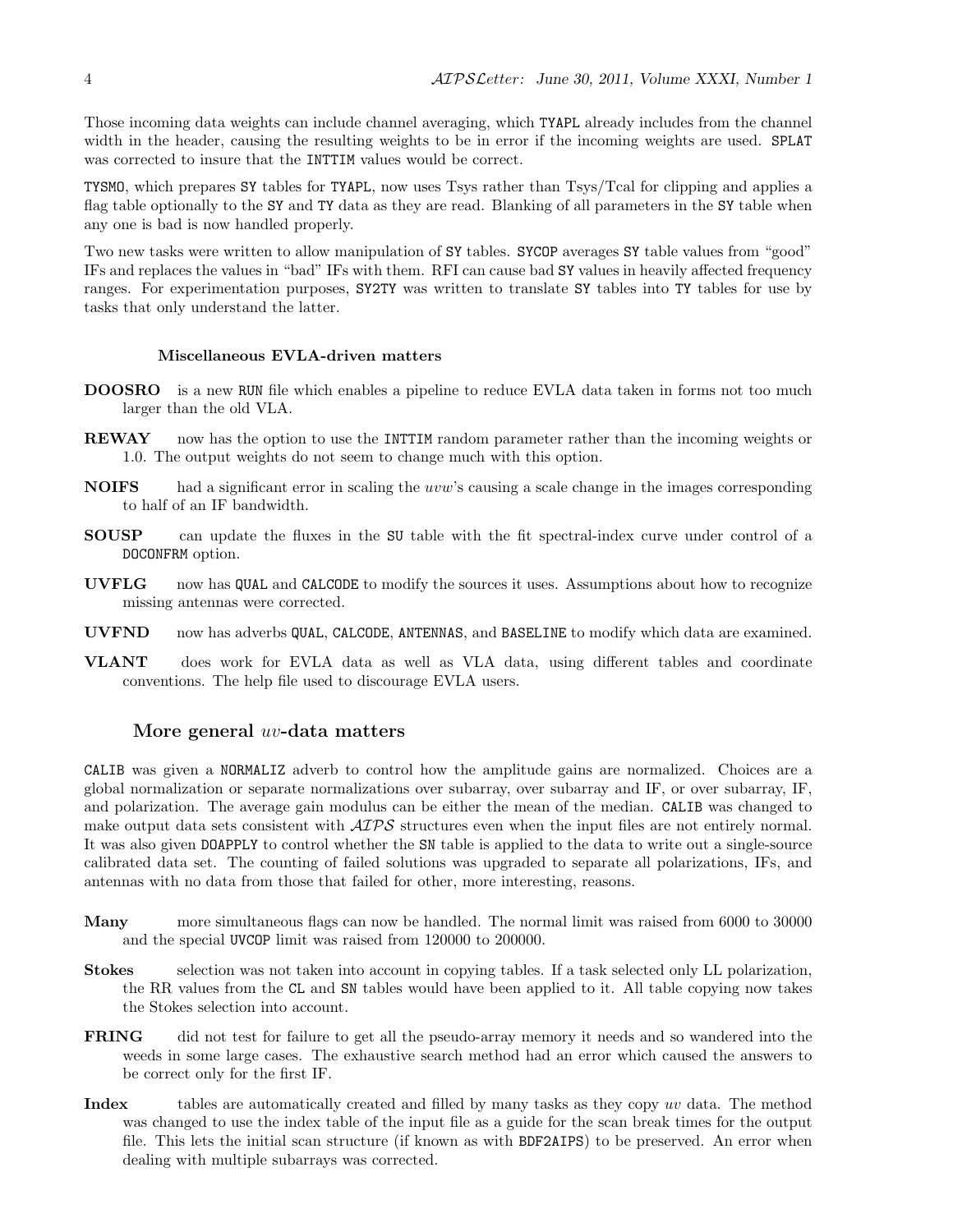Those incoming data weights can include channel averaging, which TYAPL already includes from the channel width in the header, causing the resulting weights to be in error if the incoming weights are used. SPLAT was corrected to insure that the INTTIM values would be correct.

TYSMO, which prepares SY tables for TYAPL, now uses Tsys rather than Tsys/Tcal for clipping and applies a flag table optionally to the SY and TY data as they are read. Blanking of all parameters in the SY table when any one is bad is now handled properly.

Two new tasks were written to allow manipulation of SY tables. SYCOP averages SY table values from "good" IFs and replaces the values in "bad" IFs with them. RFI can cause bad SY values in heavily affected frequency ranges. For experimentation purposes, SY2TY was written to translate SY tables into TY tables for use by tasks that only understand the latter.

#### Miscellaneous EVLA-driven matters

- DOOSRO is a new RUN file which enables a pipeline to reduce EVLA data taken in forms not too much larger than the old VLA.
- REWAY now has the option to use the INTTIM random parameter rather than the incoming weights or 1.0. The output weights do not seem to change much with this option.
- NOIFS had a significant error in scaling the uvw's causing a scale change in the images corresponding to half of an IF bandwidth.
- SOUSP can update the fluxes in the SU table with the fit spectral-index curve under control of a DOCONFRM option.
- UVFLG now has QUAL and CALCODE to modify the sources it uses. Assumptions about how to recognize missing antennas were corrected.
- UVFND now has adverbs QUAL, CALCODE, ANTENNAS, and BASELINE to modify which data are examined.
- VLANT does work for EVLA data as well as VLA data, using different tables and coordinate conventions. The help file used to discourage EVLA users.

#### More general uv-data matters

CALIB was given a NORMALIZ adverb to control how the amplitude gains are normalized. Choices are a global normalization or separate normalizations over subarray, over subarray and IF, or over subarray, IF, and polarization. The average gain modulus can be either the mean of the median. CALIB was changed to make output data sets consistent with  $\mathcal{AIPS}$  structures even when the input files are not entirely normal. It was also given DOAPPLY to control whether the SN table is applied to the data to write out a single-source calibrated data set. The counting of failed solutions was upgraded to separate all polarizations, IFs, and antennas with no data from those that failed for other, more interesting, reasons.

- Many more simultaneous flags can now be handled. The normal limit was raised from 6000 to 30000 and the special UVCOP limit was raised from 120000 to 200000.
- Stokes selection was not taken into account in copying tables. If a task selected only LL polarization, the RR values from the CL and SN tables would have been applied to it. All table copying now takes the Stokes selection into account.
- FRING did not test for failure to get all the pseudo-array memory it needs and so wandered into the weeds in some large cases. The exhaustive search method had an error which caused the answers to be correct only for the first IF.
- Index tables are automatically created and filled by many tasks as they copy uv data. The method was changed to use the index table of the input file as a guide for the scan break times for the output file. This lets the initial scan structure (if known as with BDF2AIPS) to be preserved. An error when dealing with multiple subarrays was corrected.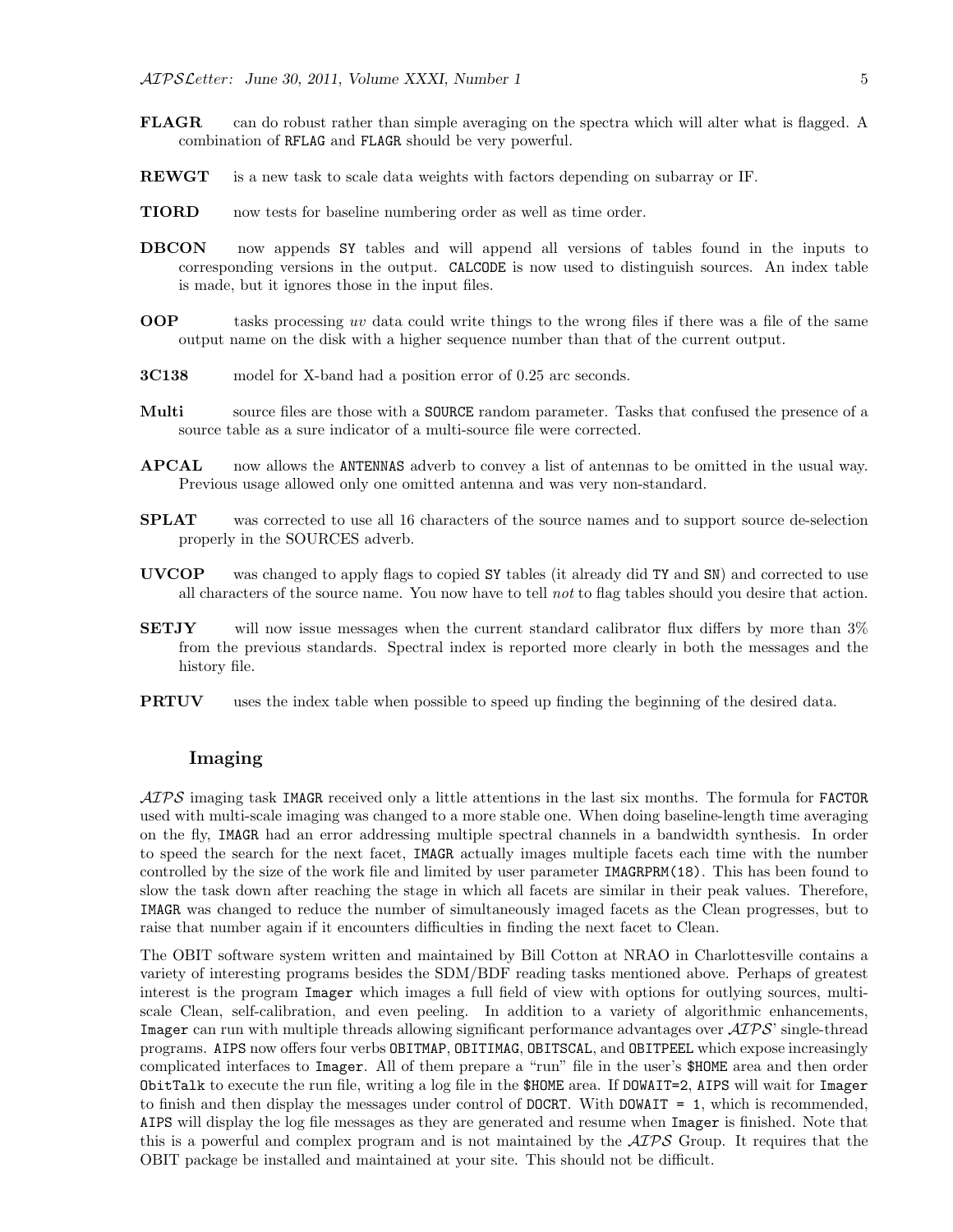- FLAGR can do robust rather than simple averaging on the spectra which will alter what is flagged. A combination of RFLAG and FLAGR should be very powerful.
- **REWGT** is a new task to scale data weights with factors depending on subarray or IF.
- TIORD now tests for baseline numbering order as well as time order.
- DBCON now appends SY tables and will append all versions of tables found in the inputs to corresponding versions in the output. CALCODE is now used to distinguish sources. An index table is made, but it ignores those in the input files.
- OOP tasks processing uv data could write things to the wrong files if there was a file of the same output name on the disk with a higher sequence number than that of the current output.
- 3C138 model for X-band had a position error of 0.25 arc seconds.
- Multi source files are those with a SOURCE random parameter. Tasks that confused the presence of a source table as a sure indicator of a multi-source file were corrected.
- APCAL now allows the ANTENNAS adverb to convey a list of antennas to be omitted in the usual way. Previous usage allowed only one omitted antenna and was very non-standard.
- SPLAT was corrected to use all 16 characters of the source names and to support source de-selection properly in the SOURCES adverb.
- UVCOP was changed to apply flags to copied SY tables (it already did TY and SN) and corrected to use all characters of the source name. You now have to tell not to flag tables should you desire that action.
- SETJY will now issue messages when the current standard calibrator flux differs by more than 3% from the previous standards. Spectral index is reported more clearly in both the messages and the history file.
- **PRTUV** uses the index table when possible to speed up finding the beginning of the desired data.

#### Imaging

 $\mathcal{AIPS}$  imaging task IMAGR received only a little attentions in the last six months. The formula for FACTOR used with multi-scale imaging was changed to a more stable one. When doing baseline-length time averaging on the fly, IMAGR had an error addressing multiple spectral channels in a bandwidth synthesis. In order to speed the search for the next facet, IMAGR actually images multiple facets each time with the number controlled by the size of the work file and limited by user parameter IMAGRPRM(18). This has been found to slow the task down after reaching the stage in which all facets are similar in their peak values. Therefore, IMAGR was changed to reduce the number of simultaneously imaged facets as the Clean progresses, but to raise that number again if it encounters difficulties in finding the next facet to Clean.

The OBIT software system written and maintained by Bill Cotton at NRAO in Charlottesville contains a variety of interesting programs besides the SDM/BDF reading tasks mentioned above. Perhaps of greatest interest is the program Imager which images a full field of view with options for outlying sources, multiscale Clean, self-calibration, and even peeling. In addition to a variety of algorithmic enhancements, Imager can run with multiple threads allowing significant performance advantages over  $\mathcal{AIPS}$  single-thread programs. AIPS now offers four verbs OBITMAP, OBITIMAG, OBITSCAL, and OBITPEEL which expose increasingly complicated interfaces to Imager. All of them prepare a "run" file in the user's \$HOME area and then order ObitTalk to execute the run file, writing a log file in the \$HOME area. If DOWAIT=2, AIPS will wait for Imager to finish and then display the messages under control of DOCRT. With DOWAIT = 1, which is recommended, AIPS will display the log file messages as they are generated and resume when Imager is finished. Note that this is a powerful and complex program and is not maintained by the  $\mathcal{AIPS}$  Group. It requires that the OBIT package be installed and maintained at your site. This should not be difficult.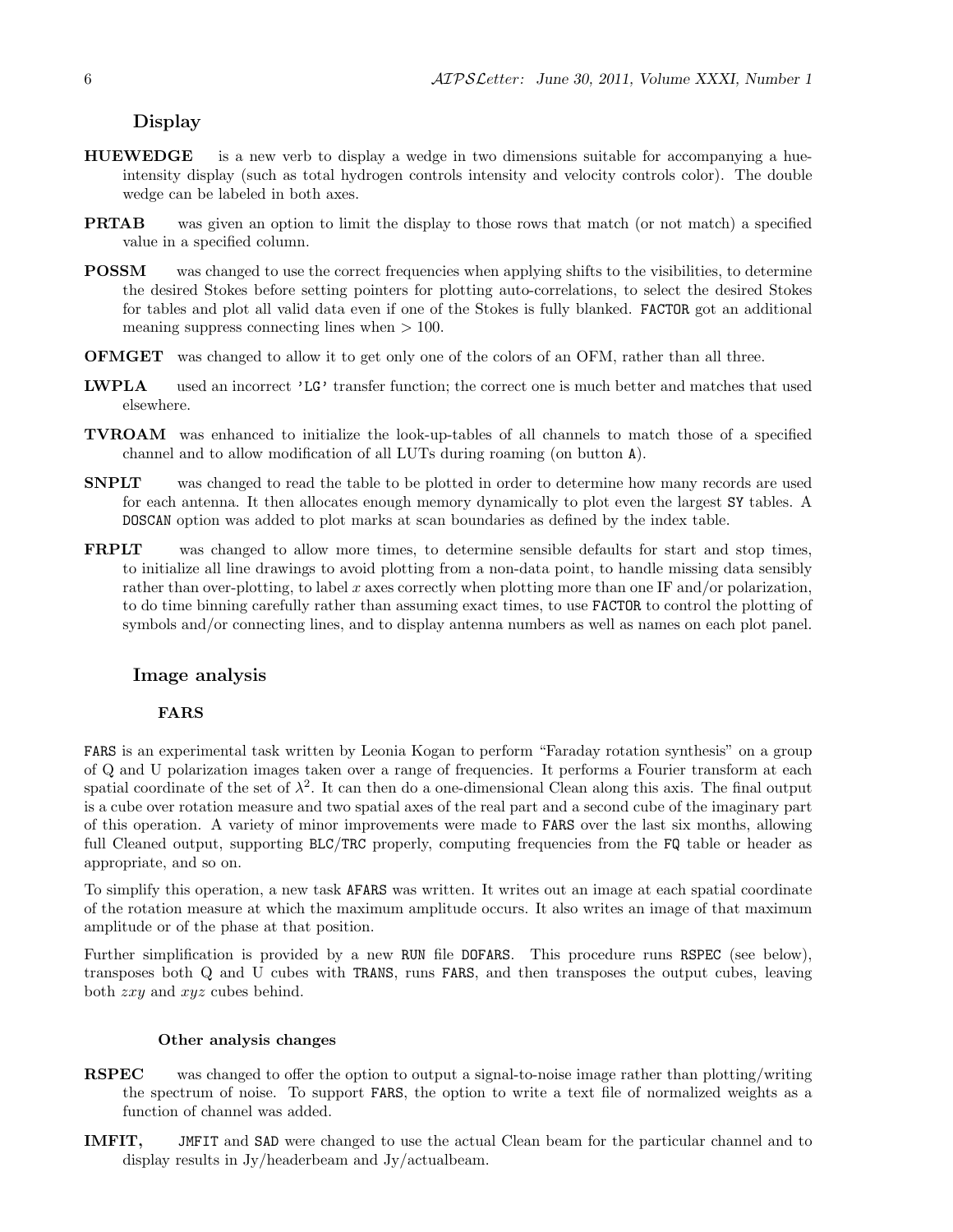### Display

- HUEWEDGE is a new verb to display a wedge in two dimensions suitable for accompanying a hueintensity display (such as total hydrogen controls intensity and velocity controls color). The double wedge can be labeled in both axes.
- PRTAB was given an option to limit the display to those rows that match (or not match) a specified value in a specified column.
- POSSM was changed to use the correct frequencies when applying shifts to the visibilities, to determine the desired Stokes before setting pointers for plotting auto-correlations, to select the desired Stokes for tables and plot all valid data even if one of the Stokes is fully blanked. FACTOR got an additional meaning suppress connecting lines when  $> 100$ .
- OFMGET was changed to allow it to get only one of the colors of an OFM, rather than all three.
- LWPLA used an incorrect 'LG' transfer function; the correct one is much better and matches that used elsewhere.
- TVROAM was enhanced to initialize the look-up-tables of all channels to match those of a specified channel and to allow modification of all LUTs during roaming (on button A).
- SNPLT was changed to read the table to be plotted in order to determine how many records are used for each antenna. It then allocates enough memory dynamically to plot even the largest SY tables. A DOSCAN option was added to plot marks at scan boundaries as defined by the index table.
- FRPLT was changed to allow more times, to determine sensible defaults for start and stop times, to initialize all line drawings to avoid plotting from a non-data point, to handle missing data sensibly rather than over-plotting, to label x axes correctly when plotting more than one IF and/or polarization, to do time binning carefully rather than assuming exact times, to use FACTOR to control the plotting of symbols and/or connecting lines, and to display antenna numbers as well as names on each plot panel.

#### Image analysis

#### FARS

FARS is an experimental task written by Leonia Kogan to perform "Faraday rotation synthesis" on a group of Q and U polarization images taken over a range of frequencies. It performs a Fourier transform at each spatial coordinate of the set of  $\lambda^2$ . It can then do a one-dimensional Clean along this axis. The final output is a cube over rotation measure and two spatial axes of the real part and a second cube of the imaginary part of this operation. A variety of minor improvements were made to FARS over the last six months, allowing full Cleaned output, supporting BLC/TRC properly, computing frequencies from the FQ table or header as appropriate, and so on.

To simplify this operation, a new task AFARS was written. It writes out an image at each spatial coordinate of the rotation measure at which the maximum amplitude occurs. It also writes an image of that maximum amplitude or of the phase at that position.

Further simplification is provided by a new RUN file DOFARS. This procedure runs RSPEC (see below), transposes both Q and U cubes with TRANS, runs FARS, and then transposes the output cubes, leaving both zxy and xyz cubes behind.

#### Other analysis changes

- RSPEC was changed to offer the option to output a signal-to-noise image rather than plotting/writing the spectrum of noise. To support FARS, the option to write a text file of normalized weights as a function of channel was added.
- IMFIT, JMFIT and SAD were changed to use the actual Clean beam for the particular channel and to display results in Jy/headerbeam and Jy/actualbeam.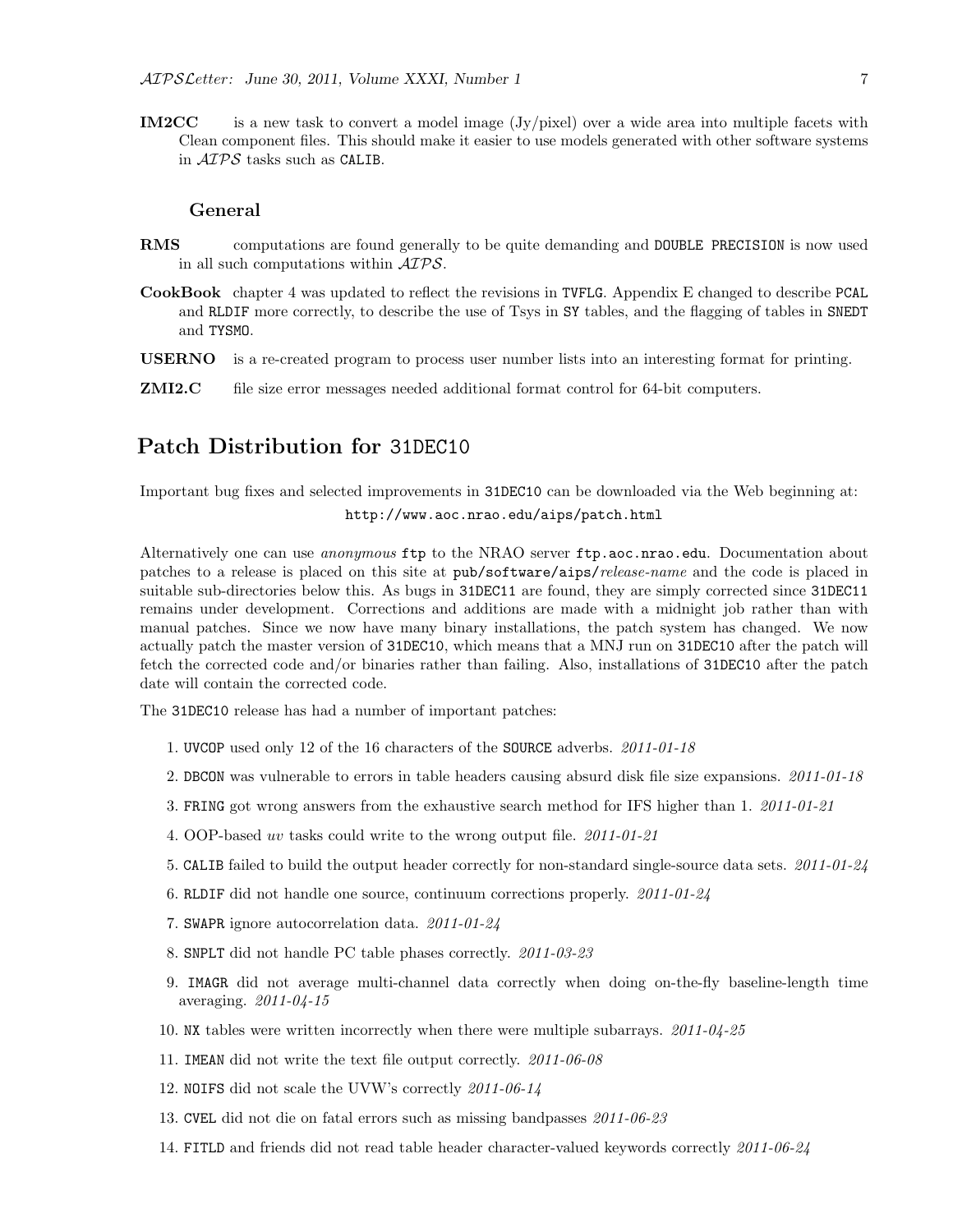IM2CC is a new task to convert a model image (Jy/pixel) over a wide area into multiple facets with Clean component files. This should make it easier to use models generated with other software systems in AIPS tasks such as CALIB.

#### General

- RMS computations are found generally to be quite demanding and DOUBLE PRECISION is now used in all such computations within AIPS.
- CookBook chapter 4 was updated to reflect the revisions in TVFLG. Appendix E changed to describe PCAL and RLDIF more correctly, to describe the use of Tsys in SY tables, and the flagging of tables in SNEDT and TYSMO.
- USERNO is a re-created program to process user number lists into an interesting format for printing.
- **ZMI2.C** file size error messages needed additional format control for 64-bit computers.

## Patch Distribution for 31DEC10

Important bug fixes and selected improvements in 31DEC10 can be downloaded via the Web beginning at: http://www.aoc.nrao.edu/aips/patch.html

Alternatively one can use *anonymous* ftp to the NRAO server ftp.aoc.nrao.edu. Documentation about patches to a release is placed on this site at pub/software/aips/release-name and the code is placed in suitable sub-directories below this. As bugs in 31DEC11 are found, they are simply corrected since 31DEC11 remains under development. Corrections and additions are made with a midnight job rather than with manual patches. Since we now have many binary installations, the patch system has changed. We now actually patch the master version of 31DEC10, which means that a MNJ run on 31DEC10 after the patch will fetch the corrected code and/or binaries rather than failing. Also, installations of 31DEC10 after the patch date will contain the corrected code.

The 31DEC10 release has had a number of important patches:

- 1. UVCOP used only 12 of the 16 characters of the SOURCE adverbs. 2011-01-18
- 2. DBCON was vulnerable to errors in table headers causing absurd disk file size expansions. 2011-01-18
- 3. FRING got wrong answers from the exhaustive search method for IFS higher than 1. 2011-01-21
- 4. OOP-based uv tasks could write to the wrong output file. 2011-01-21
- 5. CALIB failed to build the output header correctly for non-standard single-source data sets. 2011-01-24
- 6. RLDIF did not handle one source, continuum corrections properly. 2011-01-24
- 7. SWAPR ignore autocorrelation data. 2011-01-24
- 8. SNPLT did not handle PC table phases correctly. 2011-03-23
- 9. IMAGR did not average multi-channel data correctly when doing on-the-fly baseline-length time averaging. 2011-04-15
- 10. NX tables were written incorrectly when there were multiple subarrays.  $2011-04-25$
- 11. IMEAN did not write the text file output correctly. 2011-06-08
- 12. NOIFS did not scale the UVW's correctly 2011-06-14
- 13. CVEL did not die on fatal errors such as missing bandpasses 2011-06-23
- 14. FITLD and friends did not read table header character-valued keywords correctly 2011-06-24